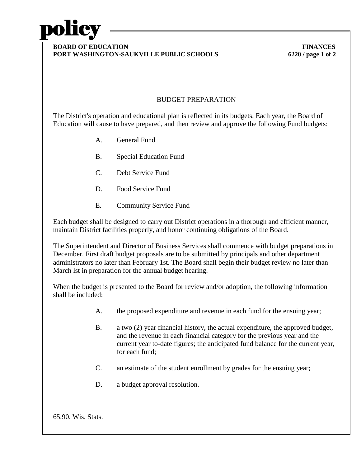

## **BOARD OF EDUCATION** FINANCES **PORT WASHINGTON-SAUKVILLE PUBLIC SCHOOLS 6220 / page 1 of 2**

## BUDGET PREPARATION

The District's operation and educational plan is reflected in its budgets. Each year, the Board of Education will cause to have prepared, and then review and approve the following Fund budgets:

- A. General Fund
- B. Special Education Fund
- C. Debt Service Fund
- D. Food Service Fund
- E. Community Service Fund

Each budget shall be designed to carry out District operations in a thorough and efficient manner, maintain District facilities properly, and honor continuing obligations of the Board.

The Superintendent and Director of Business Services shall commence with budget preparations in December. First draft budget proposals are to be submitted by principals and other department administrators no later than February 1st. The Board shall begin their budget review no later than March lst in preparation for the annual budget hearing.

When the budget is presented to the Board for review and/or adoption, the following information shall be included:

- A. the proposed expenditure and revenue in each fund for the ensuing year;
- B. a two (2) year financial history, the actual expenditure, the approved budget, and the revenue in each financial category for the previous year and the current year to-date figures; the anticipated fund balance for the current year, for each fund;
- C. an estimate of the student enrollment by grades for the ensuing year;
- D. a budget approval resolution.

65.90, Wis. Stats.